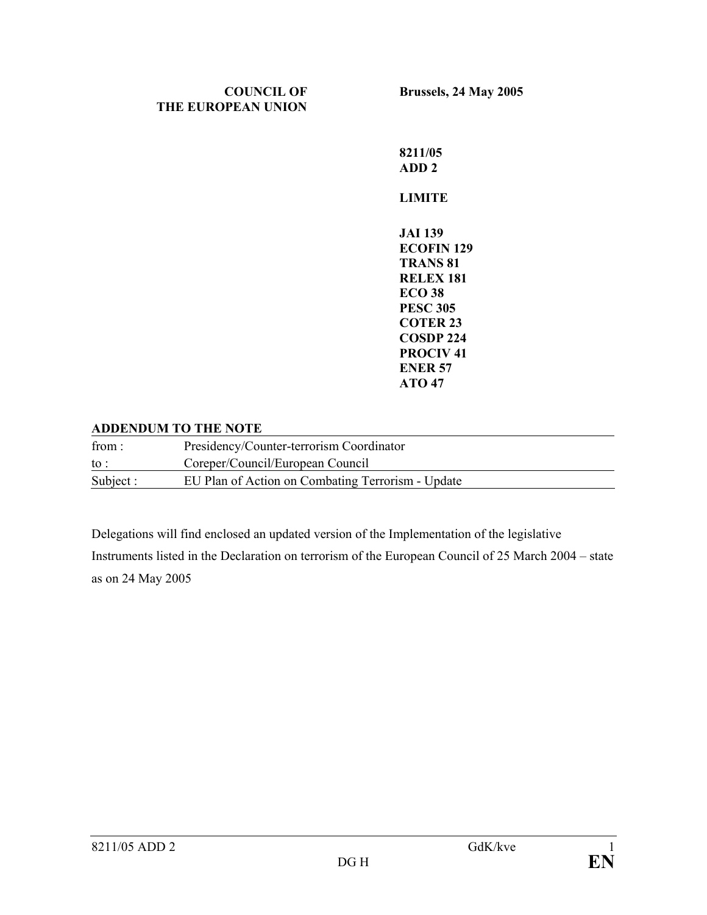## **COUNCIL OF THE EUROPEAN UNION**

**Brussels, 24 May 2005** 

**8211/05 ADD 2 LIMITE JAI 139 ECOFIN 129 TRANS 81 RELEX 181 ECO 38 PESC 305 COTER 23 COSDP 224 PROCIV 41 ENER 57 ATO 47** 

## **ADDENDUM TO THE NOTE**

| from:     | Presidency/Counter-terrorism Coordinator          |
|-----------|---------------------------------------------------|
| to :      | Coreper/Council/European Council                  |
| Subject : | EU Plan of Action on Combating Terrorism - Update |

Delegations will find enclosed an updated version of the Implementation of the legislative

Instruments listed in the Declaration on terrorism of the European Council of 25 March 2004 – state as on 24 May 2005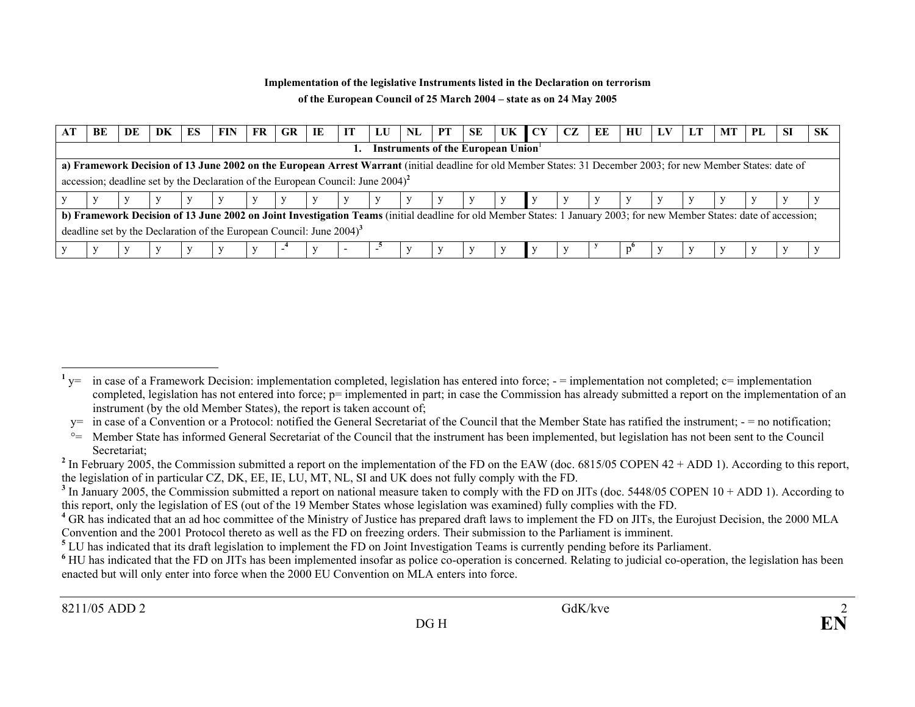## **Implementation of the legislative Instruments listed in the Declaration on terrorism of the European Council of 25 March 2004 – state as on 24 May 2005**

| BE | DE | DK | ES | FIN                                                                                                                                                                   | FR | GR | ПE | IT | LU | NL | PT | <b>SE</b>                                | UK CY | CZ. | EE | HU | LV | LT | МT | PL | -SI | -SK |
|----|----|----|----|-----------------------------------------------------------------------------------------------------------------------------------------------------------------------|----|----|----|----|----|----|----|------------------------------------------|-------|-----|----|----|----|----|----|----|-----|-----|
|    |    |    |    |                                                                                                                                                                       |    |    |    |    |    |    |    | <b>Instruments of the European Union</b> |       |     |    |    |    |    |    |    |     |     |
|    |    |    |    | a) Framework Decision of 13 June 2002 on the European Arrest Warrant (initial deadline for old Member States: 31 December 2003; for new Member States: date of        |    |    |    |    |    |    |    |                                          |       |     |    |    |    |    |    |    |     |     |
|    |    |    |    | accession; deadline set by the Declaration of the European Council: June $2004$ <sup>2</sup>                                                                          |    |    |    |    |    |    |    |                                          |       |     |    |    |    |    |    |    |     |     |
|    |    |    |    |                                                                                                                                                                       |    |    |    |    |    |    |    |                                          |       |     |    |    |    |    |    |    |     |     |
|    |    |    |    | b) Framework Decision of 13 June 2002 on Joint Investigation Teams (initial deadline for old Member States: 1 January 2003; for new Member States: date of accession; |    |    |    |    |    |    |    |                                          |       |     |    |    |    |    |    |    |     |     |
|    |    |    |    | deadline set by the Declaration of the European Council: June $2004$ <sup>3</sup>                                                                                     |    |    |    |    |    |    |    |                                          |       |     |    |    |    |    |    |    |     |     |
|    |    |    |    |                                                                                                                                                                       |    |    |    | -  |    |    |    |                                          |       |     |    |    |    |    |    |    |     |     |

<sup>&</sup>lt;sup>1</sup> y= in case of a Framework Decision: implementation completed, legislation has entered into force;  $-$  = implementation not completed;  $c$ = implementation completed, legislation has not entered into force; p= implemented in part; in case the Commission has already submitted a report on the implementation of an instrument (by the old Member States), the report is taken account of;

 $y=$  in case of a Convention or a Protocol: notified the General Secretariat of the Council that the Member State has ratified the instrument;  $-$  = no notification;

 $\degree$  Member State has informed General Secretariat of the Council that the instrument has been implemented, but legislation has not been sent to the Council Secretariat;

<sup>&</sup>lt;sup>2</sup> In February 2005, the Commission submitted a report on the implementation of the FD on the EAW (doc. 6815/05 COPEN 42 + ADD 1). According to this report, the legislation of in particular CZ, DK, EE, IE, LU, MT, NL, SI and UK does not fully comply with the FD.

<sup>&</sup>lt;sup>3</sup> In January 2005, the Commission submitted a report on national measure taken to comply with the FD on JITs (doc. 5448/05 COPEN 10 + ADD 1). According to this report, only the legislation of ES (out of the 19 Member States whose legislation was examined) fully complies with the FD.

<sup>&</sup>lt;sup>4</sup> GR has indicated that an ad hoc committee of the Ministry of Justice has prepared draft laws to implement the FD on JITs, the Eurojust Decision, the 2000 MLA Convention and the 2001 Protocol thereto as well as the FD on freezing orders. Their submission to the Parliament is imminent.

**<sup>5</sup>** LU has indicated that its draft legislation to implement the FD on Joint Investigation Teams is currently pending before its Parliament.

<sup>&</sup>lt;sup>6</sup> HU has indicated that the FD on JITs has been implemented insofar as police co-operation is concerned. Relating to judicial co-operation, the legislation has been enacted but will only enter into force when the 2000 EU Convention on MLA enters into force.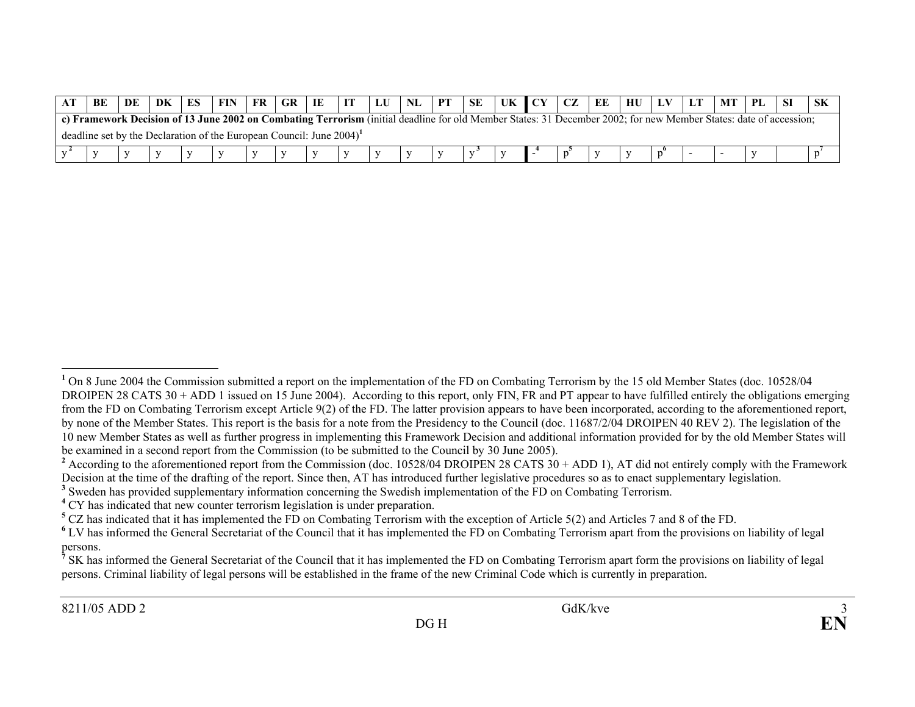| BE | DF | DK | ES | FIN                                                                                                                                                               | FR | <b>GR</b> | IE |  | PT | SE |  | ЕE |  |  |  |  |
|----|----|----|----|-------------------------------------------------------------------------------------------------------------------------------------------------------------------|----|-----------|----|--|----|----|--|----|--|--|--|--|
|    |    |    |    | c) Framework Decision of 13 June 2002 on Combating Terrorism (initial deadline for old Member States: 31 December 2002; for new Member States: date of accession; |    |           |    |  |    |    |  |    |  |  |  |  |
|    |    |    |    | deadline set by the Declaration of the European Council: June 2004)'                                                                                              |    |           |    |  |    |    |  |    |  |  |  |  |
|    |    |    |    |                                                                                                                                                                   |    |           |    |  |    |    |  |    |  |  |  |  |

<sup>&</sup>lt;sup>1</sup> On 8 June 2004 the Commission submitted a report on the implementation of the FD on Combating Terrorism by the 15 old Member States (doc. 10528/04 DROIPEN 28 CATS 30 + ADD 1 issued on 15 June 2004). According to this report, only FIN, FR and PT appear to have fulfilled entirely the obligations emerging from the FD on Combating Terrorism except Article 9(2) of the FD. The latter provision appears to have been incorporated, according to the aforementioned report, by none of the Member States. This report is the basis for a note from the Presidency to the Council (doc. 11687/2/04 DROIPEN 40 REV 2). The legislation of the 10 new Member States as well as further progress in implementing this Framework Decision and additional information provided for by the old Member States will be examined in a second report from the Commission (to be submitted to the Council by 30 June 2005).

<sup>&</sup>lt;sup>2</sup> According to the aforementioned report from the Commission (doc. 10528/04 DROIPEN 28 CATS  $30 + ADD 1$ ), AT did not entirely comply with the Framework Decision at the time of the drafting of the report. Since then, AT has introduced further legislative procedures so as to enact supplementary legislation.

**<sup>3</sup>** Sweden has provided supplementary information concerning the Swedish implementation of the FD on Combating Terrorism.

<sup>&</sup>lt;sup>4</sup> CY has indicated that new counter terrorism legislation is under preparation.

**<sup>5</sup>** CZ has indicated that it has implemented the FD on Combating Terrorism with the exception of Article 5(2) and Articles 7 and 8 of the FD.

<sup>&</sup>lt;sup>6</sup> LV has informed the General Secretariat of the Council that it has implemented the FD on Combating Terrorism apart from the provisions on liability of legal persons.

<sup>&</sup>lt;sup>7</sup> SK has informed the General Secretariat of the Council that it has implemented the FD on Combating Terrorism apart form the provisions on liability of legal persons. Criminal liability of legal persons will be established in the frame of the new Criminal Code which is currently in preparation.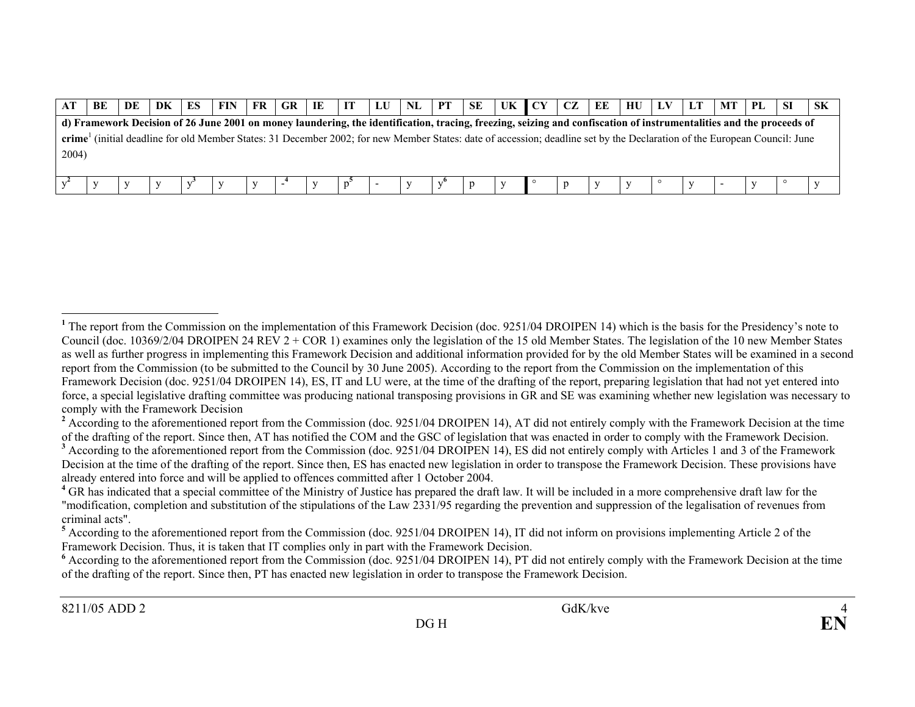|       | BE | DE | DK | ES | FIN                                                                                                                                                                       | FR. | GR. | IE | И | LU | NL | PТ | SE | UK. | ∣ CY | CZ | EE | HU | LV | МT | PL | SK |
|-------|----|----|----|----|---------------------------------------------------------------------------------------------------------------------------------------------------------------------------|-----|-----|----|---|----|----|----|----|-----|------|----|----|----|----|----|----|----|
|       |    |    |    |    | d) Framework Decision of 26 June 2001 on money laundering, the identification, tracing, freezing, seizing and confiscation of instrumentalities and the proceeds of       |     |     |    |   |    |    |    |    |     |      |    |    |    |    |    |    |    |
|       |    |    |    |    | crime' (initial deadline for old Member States: 31 December 2002; for new Member States: date of accession; deadline set by the Declaration of the European Council: June |     |     |    |   |    |    |    |    |     |      |    |    |    |    |    |    |    |
| 2004) |    |    |    |    |                                                                                                                                                                           |     |     |    |   |    |    |    |    |     |      |    |    |    |    |    |    |    |
|       |    |    |    |    |                                                                                                                                                                           |     |     |    |   |    |    |    |    |     |      |    |    |    |    |    |    |    |
|       |    |    |    |    |                                                                                                                                                                           |     |     |    |   |    |    |    |    |     |      |    |    |    |    |    |    |    |

<sup>&</sup>lt;sup>1</sup> The report from the Commission on the implementation of this Framework Decision (doc. 9251/04 DROIPEN 14) which is the basis for the Presidency's note to Council (doc. 10369/2/04 DROIPEN 24 REV 2 + COR 1) examines only the legislation of the 15 old Member States. The legislation of the 10 new Member States as well as further progress in implementing this Framework Decision and additional information provided for by the old Member States will be examined in a second report from the Commission (to be submitted to the Council by 30 June 2005). According to the report from the Commission on the implementation of this Framework Decision (doc. 9251/04 DROIPEN 14), ES, IT and LU were, at the time of the drafting of the report, preparing legislation that had not yet entered into force, a special legislative drafting committee was producing national transposing provisions in GR and SE was examining whether new legislation was necessary to comply with the Framework Decision

<sup>&</sup>lt;sup>2</sup> According to the aforementioned report from the Commission (doc. 9251/04 DROIPEN 14), AT did not entirely comply with the Framework Decision at the time of the drafting of the report. Since then, AT has notified the COM and the GSC of legislation that was enacted in order to comply with the Framework Decision. <sup>3</sup> According to the aforementioned report from the Commission (doc. 9251/04 DROIPEN 14), ES did not entirely comply with Articles 1 and 3 of the Framework Decision at the time of the drafting of the report. Since then, ES has enacted new legislation in order to transpose the Framework Decision. These provisions have

already entered into force and will be applied to offences committed after 1 October 2004.

<sup>&</sup>lt;sup>4</sup> GR has indicated that a special committee of the Ministry of Justice has prepared the draft law. It will be included in a more comprehensive draft law for the "modification, completion and substitution of the stipulations of the Law 2331/95 regarding the prevention and suppression of the legalisation of revenues from criminal acts".

**<sup>5</sup>** According to the aforementioned report from the Commission (doc. 9251/04 DROIPEN 14), IT did not inform on provisions implementing Article 2 of the Framework Decision. Thus, it is taken that IT complies only in part with the Framework Decision.

<sup>&</sup>lt;sup>6</sup> According to the aforementioned report from the Commission (doc. 9251/04 DROIPEN 14), PT did not entirely comply with the Framework Decision at the time of the drafting of the report. Since then, PT has enacted new legislation in order to transpose the Framework Decision.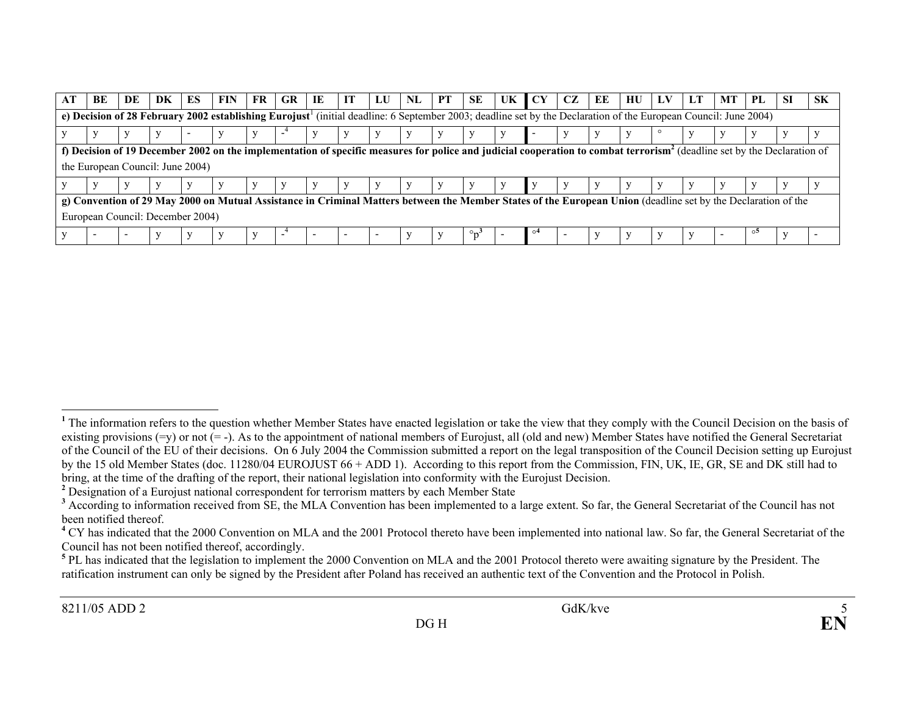| BE                               | DE | DK | ES | FIN                                                                                                                                                                                 | FR. | <b>GR</b>                | IE | IТ | LU | NL | <b>PT</b> | <b>SE</b>                             | UK | <b>CY</b> | CZ | ЕE | нu | LТ | MТ | PL | -SI | <b>SK</b> |
|----------------------------------|----|----|----|-------------------------------------------------------------------------------------------------------------------------------------------------------------------------------------|-----|--------------------------|----|----|----|----|-----------|---------------------------------------|----|-----------|----|----|----|----|----|----|-----|-----------|
|                                  |    |    |    | e) Decision of 28 February 2002 establishing Eurojust <sup>1</sup> (initial deadline: 6 September 2003; deadline set by the Declaration of the European Council: June 2004)         |     |                          |    |    |    |    |           |                                       |    |           |    |    |    |    |    |    |     |           |
|                                  |    |    |    |                                                                                                                                                                                     |     | $\overline{\phantom{a}}$ |    |    |    |    |           |                                       |    |           |    |    |    |    |    |    |     |           |
|                                  |    |    |    | f) Decision of 19 December 2002 on the implementation of specific measures for police and judicial cooperation to combat terrorism <sup>2</sup> (deadline set by the Declaration of |     |                          |    |    |    |    |           |                                       |    |           |    |    |    |    |    |    |     |           |
| the European Council: June 2004) |    |    |    |                                                                                                                                                                                     |     |                          |    |    |    |    |           |                                       |    |           |    |    |    |    |    |    |     |           |
|                                  |    |    |    |                                                                                                                                                                                     |     |                          |    |    |    |    |           |                                       |    |           |    |    |    |    |    |    |     |           |
|                                  |    |    |    | g) Convention of 29 May 2000 on Mutual Assistance in Criminal Matters between the Member States of the European Union (deadline set by the Declaration of the                       |     |                          |    |    |    |    |           |                                       |    |           |    |    |    |    |    |    |     |           |
| European Council: December 2004) |    |    |    |                                                                                                                                                                                     |     |                          |    |    |    |    |           |                                       |    |           |    |    |    |    |    |    |     |           |
|                                  |    |    |    |                                                                                                                                                                                     |     |                          |    |    |    |    |           | $\circ_{\mathbf{n}^{\mathbf{\cdot}}}$ |    | റ4        |    |    |    |    |    | o. |     |           |

<sup>&</sup>lt;sup>1</sup> The information refers to the question whether Member States have enacted legislation or take the view that they comply with the Council Decision on the basis of existing provisions  $(=v)$  or not  $(=$ -). As to the appointment of national members of Eurojust, all (old and new) Member States have notified the General Secretariat of the Council of the EU of their decisions. On 6 July 2004 the Commission submitted a report on the legal transposition of the Council Decision setting up Eurojust by the 15 old Member States (doc. 11280/04 EUROJUST 66 + ADD 1). According to this report from the Commission, FIN, UK, IE, GR, SE and DK still had to bring, at the time of the drafting of the report, their national legislation into conformity with the Eurojust Decision.

**<sup>2</sup>** Designation of a Eurojust national correspondent for terrorism matters by each Member State

<sup>&</sup>lt;sup>3</sup> According to information received from SE, the MLA Convention has been implemented to a large extent. So far, the General Secretariat of the Council has not been notified thereof.

<sup>&</sup>lt;sup>4</sup> CY has indicated that the 2000 Convention on MLA and the 2001 Protocol thereto have been implemented into national law. So far, the General Secretariat of the Council has not been notified thereof, accordingly.

<sup>&</sup>lt;sup>5</sup> PL has indicated that the legislation to implement the 2000 Convention on MLA and the 2001 Protocol thereto were awaiting signature by the President. The ratification instrument can only be signed by the President after Poland has received an authentic text of the Convention and the Protocol in Polish.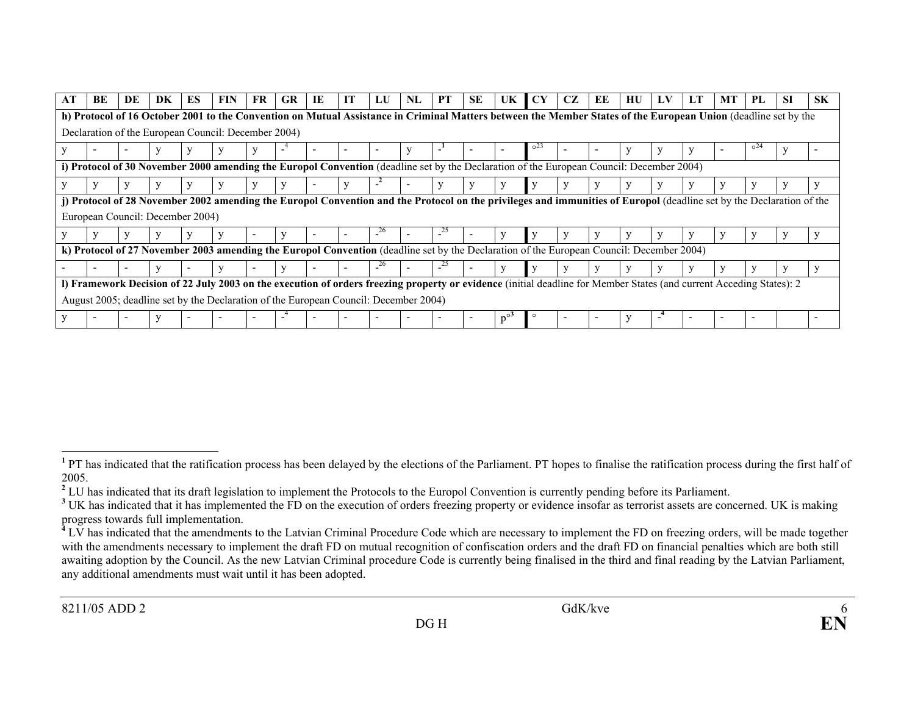| AT | BE                               | DE | DK | ES | FIN                                                                                                                                                                  | FR | <b>GR</b> | IE | IТ | LU                       | NL | <b>PT</b> | <b>SE</b> | UK | CY              | CZ | ЕE | HU | LV | LТ | МT | PL       | -SI | <b>SK</b> |
|----|----------------------------------|----|----|----|----------------------------------------------------------------------------------------------------------------------------------------------------------------------|----|-----------|----|----|--------------------------|----|-----------|-----------|----|-----------------|----|----|----|----|----|----|----------|-----|-----------|
|    |                                  |    |    |    | h) Protocol of 16 October 2001 to the Convention on Mutual Assistance in Criminal Matters between the Member States of the European Union (deadline set by the       |    |           |    |    |                          |    |           |           |    |                 |    |    |    |    |    |    |          |     |           |
|    |                                  |    |    |    | Declaration of the European Council: December 2004)                                                                                                                  |    |           |    |    |                          |    |           |           |    |                 |    |    |    |    |    |    |          |     |           |
|    |                                  |    |    |    |                                                                                                                                                                      |    |           |    |    | $\overline{\phantom{0}}$ |    | ÷,        |           |    | 0 <sup>23</sup> |    |    |    |    |    |    | $0^{24}$ |     |           |
|    |                                  |    |    |    | i) Protocol of 30 November 2000 amending the Europol Convention (deadline set by the Declaration of the European Council: December 2004)                             |    |           |    |    |                          |    |           |           |    |                 |    |    |    |    |    |    |          |     |           |
|    |                                  |    |    |    |                                                                                                                                                                      |    |           |    |    |                          |    |           |           |    |                 |    |    |    |    |    |    |          |     |           |
|    |                                  |    |    |    | j) Protocol of 28 November 2002 amending the Europol Convention and the Protocol on the privileges and immunities of Europol (deadline set by the Declaration of the |    |           |    |    |                          |    |           |           |    |                 |    |    |    |    |    |    |          |     |           |
|    | European Council: December 2004) |    |    |    |                                                                                                                                                                      |    |           |    |    |                          |    |           |           |    |                 |    |    |    |    |    |    |          |     |           |
|    |                                  |    |    |    |                                                                                                                                                                      |    |           |    |    | 26                       |    | 25        |           |    |                 |    |    |    |    |    |    |          |     |           |
|    |                                  |    |    |    | k) Protocol of 27 November 2003 amending the Europol Convention (deadline set by the Declaration of the European Council: December 2004)                             |    |           |    |    |                          |    |           |           |    |                 |    |    |    |    |    |    |          |     |           |
|    |                                  |    |    |    |                                                                                                                                                                      |    |           |    |    |                          |    |           |           |    |                 |    |    |    |    |    |    |          |     |           |
|    |                                  |    |    |    | I) Framework Decision of 22 July 2003 on the execution of orders freezing property or evidence (initial deadline for Member States (and current Acceding States): 2  |    |           |    |    |                          |    |           |           |    |                 |    |    |    |    |    |    |          |     |           |
|    |                                  |    |    |    | August 2005; deadline set by the Declaration of the European Council: December 2004)                                                                                 |    |           |    |    |                          |    |           |           |    |                 |    |    |    |    |    |    |          |     |           |
|    |                                  |    |    |    |                                                                                                                                                                      |    |           |    |    |                          |    |           |           |    |                 |    |    |    |    |    |    |          |     |           |

<sup>&</sup>lt;sup>1</sup> PT has indicated that the ratification process has been delayed by the elections of the Parliament. PT hopes to finalise the ratification process during the first half of 2005.

<sup>&</sup>lt;sup>2</sup> LU has indicated that its draft legislation to implement the Protocols to the Europol Convention is currently pending before its Parliament.

<sup>&</sup>lt;sup>3</sup> UK has indicated that it has implemented the FD on the execution of orders freezing property or evidence insofar as terrorist assets are concerned. UK is making progress towards full implementation.

<sup>&</sup>lt;sup>4</sup> LV has indicated that the amendments to the Latvian Criminal Procedure Code which are necessary to implement the FD on freezing orders, will be made together with the amendments necessary to implement the draft FD on mutual recognition of confiscation orders and the draft FD on financial penalties which are both still awaiting adoption by the Council. As the new Latvian Criminal procedure Code is currently being finalised in the third and final reading by the Latvian Parliament, any additional amendments must wait until it has been adopted.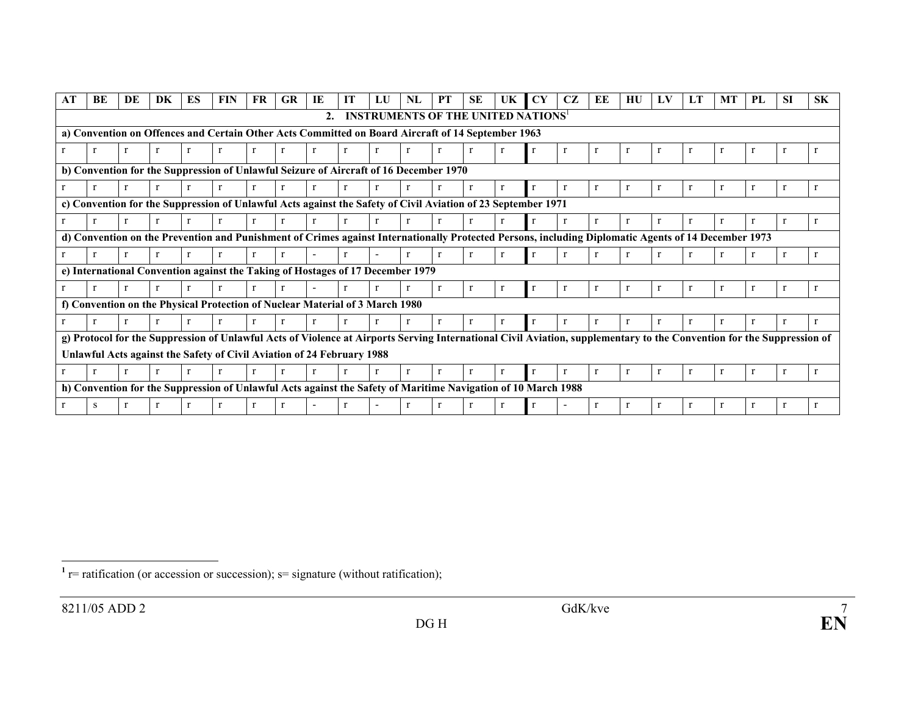| АT | BE | DE | DK | ES | <b>FIN</b>                                                                                                                                                            | FR | <b>GR</b> | IE               | IT | IJ                                       | NL | <b>PT</b> | <b>SE</b> | UK | CY | CZ | ЕE | НU | LV | LT | МT | PL | -SI | <b>SK</b> |
|----|----|----|----|----|-----------------------------------------------------------------------------------------------------------------------------------------------------------------------|----|-----------|------------------|----|------------------------------------------|----|-----------|-----------|----|----|----|----|----|----|----|----|----|-----|-----------|
|    |    |    |    |    |                                                                                                                                                                       |    |           | $\overline{2}$ . |    | <b>INSTRUMENTS OF THE UNITED NATIONS</b> |    |           |           |    |    |    |    |    |    |    |    |    |     |           |
|    |    |    |    |    | a) Convention on Offences and Certain Other Acts Committed on Board Aircraft of 14 September 1963                                                                     |    |           |                  |    |                                          |    |           |           |    |    |    |    |    |    |    |    |    |     |           |
|    |    |    |    |    |                                                                                                                                                                       |    |           |                  |    |                                          |    |           |           |    |    |    |    |    |    |    |    |    |     |           |
|    |    |    |    |    | b) Convention for the Suppression of Unlawful Seizure of Aircraft of 16 December 1970                                                                                 |    |           |                  |    |                                          |    |           |           |    |    |    |    |    |    |    |    |    |     |           |
|    |    |    |    |    |                                                                                                                                                                       |    |           |                  |    |                                          |    |           |           |    |    |    |    |    |    | -r | r  |    |     |           |
|    |    |    |    |    | c) Convention for the Suppression of Unlawful Acts against the Safety of Civil Aviation of 23 September 1971                                                          |    |           |                  |    |                                          |    |           |           |    |    |    |    |    |    |    |    |    |     |           |
|    |    |    |    |    |                                                                                                                                                                       |    |           |                  |    |                                          |    |           |           |    |    |    |    |    |    |    |    |    |     |           |
|    |    |    |    |    | d) Convention on the Prevention and Punishment of Crimes against Internationally Protected Persons, including Diplomatic Agents of 14 December 1973                   |    |           |                  |    |                                          |    |           |           |    |    |    |    |    |    |    |    |    |     |           |
|    |    |    |    |    |                                                                                                                                                                       |    |           |                  |    |                                          |    |           |           |    |    |    |    |    |    |    |    |    |     |           |
|    |    |    |    |    | e) International Convention against the Taking of Hostages of 17 December 1979                                                                                        |    |           |                  |    |                                          |    |           |           |    |    |    |    |    |    |    |    |    |     |           |
|    |    |    |    |    |                                                                                                                                                                       |    |           |                  |    |                                          |    |           |           |    |    |    |    |    |    | r  | r  |    |     |           |
|    |    |    |    |    | f) Convention on the Physical Protection of Nuclear Material of 3 March 1980                                                                                          |    |           |                  |    |                                          |    |           |           |    |    |    |    |    |    |    |    |    |     |           |
|    |    |    |    |    |                                                                                                                                                                       |    |           |                  |    |                                          |    |           |           |    |    |    |    |    |    |    |    |    |     |           |
|    |    |    |    |    | g) Protocol for the Suppression of Unlawful Acts of Violence at Airports Serving International Civil Aviation, supplementary to the Convention for the Suppression of |    |           |                  |    |                                          |    |           |           |    |    |    |    |    |    |    |    |    |     |           |
|    |    |    |    |    | Unlawful Acts against the Safety of Civil Aviation of 24 February 1988                                                                                                |    |           |                  |    |                                          |    |           |           |    |    |    |    |    |    |    |    |    |     |           |
|    |    |    |    |    |                                                                                                                                                                       |    |           |                  |    |                                          |    |           |           |    |    |    |    |    |    |    |    |    |     |           |
|    |    |    |    |    | h) Convention for the Suppression of Unlawful Acts against the Safety of Maritime Navigation of 10 March 1988                                                         |    |           |                  |    |                                          |    |           |           |    |    |    |    |    |    |    |    |    |     |           |
|    |    |    |    |    |                                                                                                                                                                       |    |           |                  |    |                                          |    |           |           |    |    |    |    |    |    |    |    |    |     |           |

 $\overline{1}$  r= ratification (or accession or succession); s= signature (without ratification);